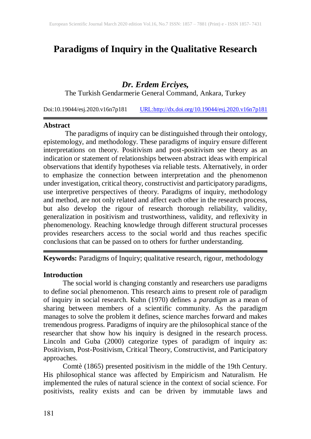# **Paradigms of Inquiry in the Qualitative Research**

# *Dr. Erdem Erciyes,*

The Turkish Gendarmerie General Command, Ankara, Turkey

Doi:10.19044/esj.2020.v16n7p181 [URL:http://dx.doi.org/10.19044/esj.2020.v16n7p181](http://dx.doi.org/10.19044/esj.2020.v16n7p181)

#### **Abstract**

The paradigms of inquiry can be distinguished through their ontology, epistemology, and methodology. These paradigms of inquiry ensure different interpretations on theory. Positivism and post-positivism see theory as an indication or statement of relationships between abstract ideas with empirical observations that identify hypotheses via reliable tests. Alternatively, in order to emphasize the connection between interpretation and the phenomenon under investigation, critical theory, constructivist and participatory paradigms, use interpretive perspectives of theory. Paradigms of inquiry, methodology and method, are not only related and affect each other in the research process, but also develop the rigour of research thorough reliability, validity, generalization in positivism and trustworthiness, validity, and reflexivity in phenomenology. Reaching knowledge through different structural processes provides researchers access to the social world and thus reaches specific conclusions that can be passed on to others for further understanding.

**Keywords:** Paradigms of Inquiry; qualitative research, rigour, methodology

#### **Introduction**

The social world is changing constantly and researchers use paradigms to define social phenomenon. This research aims to present role of paradigm of inquiry in social research. Kuhn (1970) defines a *paradigm* as a mean of sharing between members of a scientific community. As the paradigm manages to solve the problem it defines, science marches forward and makes tremendous progress. Paradigms of inquiry are the philosophical stance of the researcher that show how his inquiry is designed in the research process. Lincoln and Guba (2000) categorize types of paradigm of inquiry as: Positivism, Post-Positivism, Critical Theory, Constructivist, and Participatory approaches.

Comtè (1865) presented positivism in the middle of the 19th Century. His philosophical stance was affected by Empiricism and Naturalism. He implemented the rules of natural science in the context of social science. For positivists, reality exists and can be driven by immutable laws and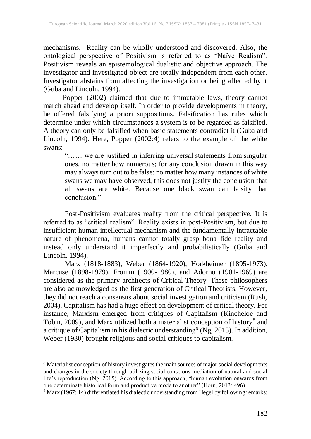mechanisms. Reality can be wholly understood and discovered. Also, the ontological perspective of Positivism is referred to as "Naïve Realism". Positivism reveals an epistemological dualistic and objective approach. The investigator and investigated object are totally independent from each other. Investigator abstains from affecting the investigation or being affected by it (Guba and Lincoln, 1994).

Popper (2002) claimed that due to immutable laws, theory cannot march ahead and develop itself. In order to provide developments in theory, he offered falsifying a priori suppositions. Falsification has rules which determine under which circumstances a system is to be regarded as falsified. A theory can only be falsified when basic statements contradict it (Guba and Lincoln, 1994). Here, Popper (2002:4) refers to the example of the white swans:

"…… we are justified in inferring universal statements from singular ones, no matter how numerous; for any conclusion drawn in this way may alwaysturn out to be false: no matter how many instances of white swans we may have observed, this does not justify the conclusion that all swans are white. Because one black swan can falsify that conclusion."

Post-Positivism evaluates reality from the critical perspective. It is referred to as "critical realism". Reality exists in post-Positivism, but due to insufficient human intellectual mechanism and the fundamentally intractable nature of phenomena, humans cannot totally grasp bona fide reality and instead only understand it imperfectly and probabilistically (Guba and Lincoln, 1994).

Marx (1818-1883), Weber (1864-1920), Horkheimer (1895-1973), Marcuse (1898-1979), Fromm (1900-1980), and Adorno (1901-1969) are considered as the primary architects of Critical Theory. These philosophers are also acknowledged as the first generation of Critical Theorists. However, they did not reach a consensus about social investigation and criticism (Rush, 2004). Capitalism has had a huge effect on development of critical theory. For instance, Marxism emerged from critiques of Capitalism (Kincheloe and Tobin, 2009), and Marx utilized both a materialist conception of history<sup>8</sup> and a critique of Capitalism in his dialectic understanding<sup>9</sup> (Ng, 2015). In addition, Weber (1930) brought religious and social critiques to capitalism.

 $\overline{\phantom{a}}$ 

<sup>&</sup>lt;sup>8</sup> Materialist conception of history investigates the main sources of major social developments and changes in the society through utilizing social conscious mediation of natural and social life's reproduction (Ng, 2015). According to this approach, "human evolution onwards from one determinate historical form and productive mode to another" (Horn, 2013: 496).

 $9$  Marx (1967: 14) differentiated his dialectic understanding from Hegel by following remarks: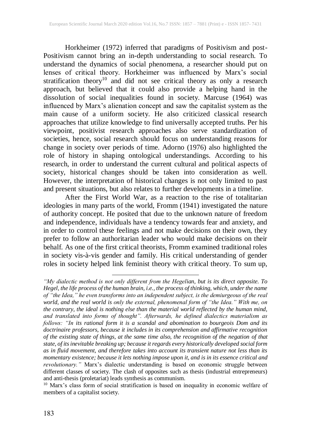Horkheimer (1972) inferred that paradigms of Positivism and post-Positivism cannot bring an in-depth understanding to social research. To understand the dynamics of social phenomena, a researcher should put on lenses of critical theory. Horkheimer was influenced by Marx's social stratification theory<sup>10</sup> and did not see critical theory as only a research approach, but believed that it could also provide a helping hand in the dissolution of social inequalities found in society. Marcuse (1964) was influenced by Marx's alienation concept and saw the capitalist system as the main cause of a uniform society. He also criticized classical research approaches that utilize knowledge to find universally accepted truths. Per his viewpoint, positivist research approaches also serve standardization of societies, hence, social research should focus on understanding reasons for change in society over periods of time. Adorno (1976) also highlighted the role of history in shaping ontological understandings. According to his research, in order to understand the current cultural and political aspects of society, historical changes should be taken into consideration as well. However, the interpretation of historical changes is not only limited to past and present situations, but also relates to further developments in a timeline.

After the First World War, as a reaction to the rise of totalitarian ideologies in many parts of the world, Fromm (1941) investigated the nature of authority concept. He posited that due to the unknown nature of freedom and independence, individuals have a tendency towards fear and anxiety, and in order to control these feelings and not make decisions on their own, they prefer to follow an authoritarian leader who would make decisions on their behalf. As one of the first critical theorists, Fromm examined traditional roles in society vis-à-vis gender and family. His critical understanding of gender roles in society helped link feminist theory with critical theory. To sum up,

 $\overline{\phantom{a}}$ 

*<sup>&</sup>quot;My dialectic method is not only different from the Hegelian, but is its direct opposite. To Hegel, the life process of the human brain, i.e., the process of thinking, which, under the name of "the Idea," he even transforms into an independent subject, is the demiurgeous of the real world, and the real world is only the external, phenomenal form of "the Idea." With me, on the contrary, the ideal is nothing else than the material world reflected by the human mind, and translated into forms of thought". Afterwards, he defined dialectics materialism as follows: "In its rational form it is a scandal and abomination to bourgeois Dom and its doctrinaire professors, because it includes in its comprehension and affirmative recognition of the existing state of things, at the same time also, the recognition of the negation of that state, of itsinevitable breaking up; because it regards every historically developed social form as in fluid movement, and therefore takes into account its transient nature not less than its momentary existence; because it lets nothing impose upon it, and is in its essence critical and revolutionary.*" Marx's dialectic understanding is based on economic struggle between different classes of society. The clash of opposites such as thesis (industrial entrepreneurs) and anti-thesis (proletariat) leads synthesis as communism.

<sup>&</sup>lt;sup>10</sup> Marx's class form of social stratification is based on inequality in economic welfare of members of a capitalist society.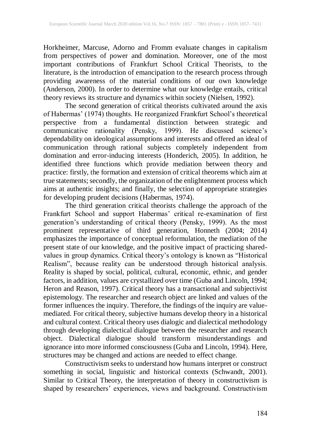Horkheimer, Marcuse, Adorno and Fromm evaluate changes in capitalism from perspectives of power and domination. Moreover, one of the most important contributions of Frankfurt School Critical Theorists, to the literature, is the introduction of emancipation to the research process through providing awareness of the material conditions of our own knowledge (Anderson, 2000). In order to determine what our knowledge entails, critical theory reviews its structure and dynamics within society (Nielsen, 1992).

The second generation of critical theorists cultivated around the axis of Habermas' (1974) thoughts. He reorganized Frankfurt School's theoretical perspective from a fundamental distinction between strategic and communicative rationality (Pensky, 1999). He discussed science's dependability on ideological assumptions and interests and offered an ideal of communication through rational subjects completely independent from domination and error-inducing interests (Honderich, 2005). In addition, he identified three functions which provide mediation between theory and practice: firstly, the formation and extension of critical theorems which aim at true statements; secondly, the organization of the enlightenment process which aims at authentic insights; and finally, the selection of appropriate strategies for developing prudent decisions (Habermas, 1974).

The third generation critical theorists challenge the approach of the Frankfurt School and support Habermas' critical re-examination of first generation's understanding of critical theory (Pensky, 1999). As the most prominent representative of third generation, Honneth (2004; 2014) emphasizes the importance of conceptual reformulation, the mediation of the present state of our knowledge, and the positive impact of practicing sharedvalues in group dynamics. Critical theory's ontology is known as "Historical Realism", because reality can be understood through historical analysis. Reality is shaped by social, political, cultural, economic, ethnic, and gender factors, in addition, values are crystallized over time (Guba and Lincoln, 1994; Heron and Reason, 1997). Critical theory has a transactional and subjectivist epistemology. The researcher and research object are linked and values of the former influences the inquiry. Therefore, the findings of the inquiry are valuemediated. For critical theory, subjective humans develop theory in a historical and cultural context. Critical theory uses dialogic and dialectical methodology through developing dialectical dialogue between the researcher and research object. Dialectical dialogue should transform misunderstandings and ignorance into more informed consciousness (Guba and Lincoln, 1994). Here, structures may be changed and actions are needed to effect change.

Constructivism seeks to understand how humans interpret or construct something in social, linguistic and historical contexts (Schwandt, 2001). Similar to Critical Theory, the interpretation of theory in constructivism is shaped by researchers' experiences, views and background. Constructivism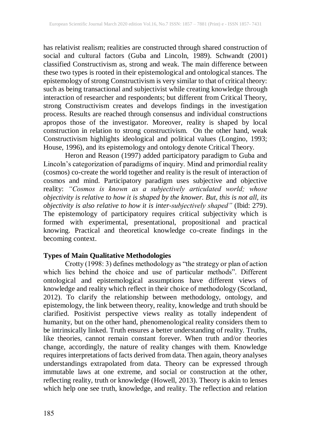has relativist realism; realities are constructed through shared construction of social and cultural factors (Guba and Lincoln, 1989). Schwandt (2001) classified Constructivism as, strong and weak. The main difference between these two types is rooted in their epistemological and ontological stances. The epistemology of strong Constructivism is very similar to that of critical theory: such as being transactional and subjectivist while creating knowledge through interaction of researcher and respondents; but different from Critical Theory, strong Constructivism creates and develops findings in the investigation process. Results are reached through consensus and individual constructions apropos those of the investigator. Moreover, reality is shaped by local construction in relation to strong constructivism. On the other hand, weak Constructivism highlights ideological and political values (Longino, 1993; House, 1996), and its epistemology and ontology denote Critical Theory.

Heron and Reason (1997) added participatory paradigm to Guba and Lincoln's categorization of paradigms of inquiry. Mind and primordial reality (cosmos) co-create the world together and reality is the result of interaction of cosmos and mind. Participatory paradigm uses subjective and objective reality: *"Cosmos is known as a subjectively articulated world; whose objectivity is relative to how it is shaped by the knower. But, this is not all, its objectivity is also relative to how it is inter-subjectively shaped"* (Ibid: 279). The epistemology of participatory requires critical subjectivity which is formed with experimental, presentational, propositional and practical knowing. Practical and theoretical knowledge co-create findings in the becoming context.

## **Types of Main Qualitative Methodologies**

Crotty (1998: 3) defines methodology as "the strategy or plan of action which lies behind the choice and use of particular methods". Different ontological and epistemological assumptions have different views of knowledge and reality which reflect in their choice of methodology (Scotland, 2012). To clarify the relationship between methodology, ontology, and epistemology, the link between theory, reality, knowledge and truth should be clarified. Positivist perspective views reality as totally independent of humanity, but on the other hand, phenomenological reality considers them to be intrinsically linked. Truth ensures a better understanding of reality. Truths, like theories, cannot remain constant forever. When truth and/or theories change, accordingly, the nature of reality changes with them. Knowledge requires interpretations of facts derived from data. Then again, theory analyses understandings extrapolated from data. Theory can be expressed through immutable laws at one extreme, and social or construction at the other, reflecting reality, truth or knowledge (Howell, 2013). Theory is akin to lenses which help one see truth, knowledge, and reality. The reflection and relation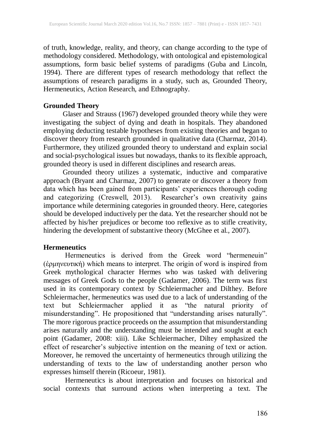of truth, knowledge, reality, and theory, can change according to the type of methodology considered. Methodology, with ontological and epistemological assumptions, form basic belief systems of paradigms (Guba and Lincoln, 1994). There are different types of research methodology that reflect the assumptions of research paradigms in a study, such as, Grounded Theory, Hermeneutics, Action Research, and Ethnography.

## **Grounded Theory**

Glaser and Strauss (1967) developed grounded theory while they were investigating the subject of dying and death in hospitals. They abandoned employing deducting testable hypotheses from existing theories and began to discover theory from research grounded in qualitative data (Charmaz, 2014). Furthermore, they utilized grounded theory to understand and explain social and social-psychological issues but nowadays, thanks to its flexible approach, grounded theory is used in different disciplines and research areas.

Grounded theory utilizes a systematic, inductive and comparative approach (Bryant and Charmaz, 2007) to generate or discover a theory from data which has been gained from participants' experiences thorough coding and categorizing (Creswell, 2013). Researcher's own creativity gains importance while determining categories in grounded theory. Here, categories should be developed inductively per the data. Yet the researcher should not be affected by his/her prejudices or become too reflexive as to stifle creativity, hindering the development of substantive theory (McGhee et al., 2007).

## **Hermeneutics**

Hermeneutics is derived from the Greek word "hermeneuin" (ἑρμηνευτική) which means to interpret. The origin of word is inspired from Greek mythological character Hermes who was tasked with delivering messages of Greek Gods to the people (Gadamer, 2006). The term was first used in its contemporary context by Schleiermacher and Dilthey. Before Schleiermacher, hermeneutics was used due to a lack of understanding of the text but Schleiermacher applied it as "the natural priority of misunderstanding". He propositioned that "understanding arises naturally". The more rigorous practice proceeds on the assumption that misunderstanding arises naturally and the understanding must be intended and sought at each point (Gadamer, 2008: xiii). Like Schleiermacher, Diltey emphasized the effect of researcher's subjective intention on the meaning of text or action. Moreover, he removed the uncertainty of hermeneutics through utilizing the understanding of texts to the law of understanding another person who expresses himself therein (Ricoeur, 1981).

Hermeneutics is about interpretation and focuses on historical and social contexts that surround actions when interpreting a text. The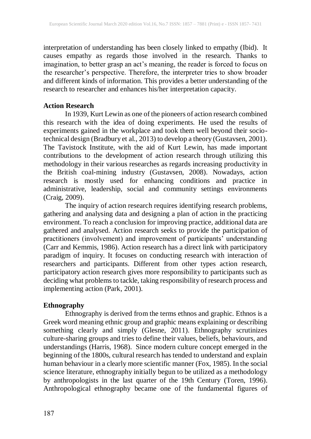interpretation of understanding has been closely linked to empathy (Ibid). It causes empathy as regards those involved in the research. Thanks to imagination, to better grasp an act's meaning, the reader is forced to focus on the researcher's perspective. Therefore, the interpreter tries to show broader and different kinds of information. This provides a better understanding of the research to researcher and enhances his/her interpretation capacity.

#### **Action Research**

In 1939, Kurt Lewin as one of the pioneers of action research combined this research with the idea of doing experiments. He used the results of experiments gained in the workplace and took them well beyond their sociotechnical design (Bradbury et al., 2013) to develop a theory (Gustavsen, 2001). The Tavistock Institute, with the aid of Kurt Lewin, has made important contributions to the development of action research through utilizing this methodology in their various researches as regards increasing productivity in the British coal-mining industry (Gustavsen, 2008). Nowadays, action research is mostly used for enhancing conditions and practice in administrative, leadership, social and community settings environments (Craig, 2009).

The inquiry of action research requires identifying research problems, gathering and analysing data and designing a plan of action in the practicing environment. To reach a conclusion for improving practice, additional data are gathered and analysed. Action research seeks to provide the participation of practitioners (involvement) and improvement of participants' understanding (Carr and Kemmis, 1986). Action research has a direct link with participatory paradigm of inquiry. It focuses on conducting research with interaction of researchers and participants. Different from other types action research, participatory action research gives more responsibility to participants such as deciding what problems to tackle, taking responsibility of research process and implementing action (Park, 2001).

## **Ethnography**

Ethnography is derived from the terms ethnos and graphic. Ethnos is a Greek word meaning ethnic group and graphic means explaining or describing something clearly and simply (Glesne, 2011). Ethnography scrutinizes culture-sharing groups and tries to define their values, beliefs, behaviours, and understandings (Harris, 1968). Since modern culture concept emerged in the beginning of the 1800s, cultural research has tended to understand and explain human behaviour in a clearly more scientific manner (Fox, 1985). In the social science literature, ethnography initially begun to be utilized as a methodology by anthropologists in the last quarter of the 19th Century (Toren, 1996). Anthropological ethnography became one of the fundamental figures of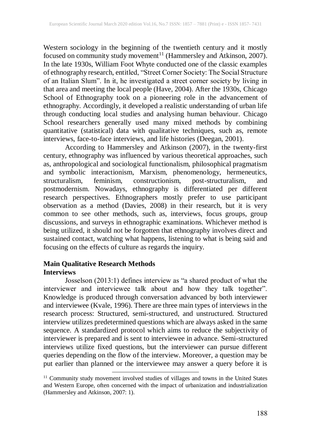Western sociology in the beginning of the twentieth century and it mostly focused on community study movement<sup>11</sup> (Hammersley and Atkinson, 2007). In the late 1930s, William Foot Whyte conducted one of the classic examples of ethnography research, entitled, "Street Corner Society: The Social Structure of an Italian Slum". In it, he investigated a street corner society by living in that area and meeting the local people (Have, 2004). After the 1930s, Chicago School of Ethnography took on a pioneering role in the advancement of ethnography. Accordingly, it developed a realistic understanding of urban life through conducting local studies and analysing human behaviour. Chicago School researchers generally used many mixed methods by combining quantitative (statistical) data with qualitative techniques, such as, remote interviews, face-to-face interviews, and life histories (Deegan, 2001).

According to Hammersley and Atkinson (2007), in the twenty-first century, ethnography was influenced by various theoretical approaches, such as, anthropological and sociological functionalism, philosophical pragmatism and symbolic interactionism, Marxism, phenomenology, hermeneutics, structuralism, feminism, constructionism, post-structuralism, and postmodernism. Nowadays, ethnography is differentiated per different research perspectives. Ethnographers mostly prefer to use participant observation as a method (Davies, 2008) in their research, but it is very common to see other methods, such as, interviews, focus groups, group discussions, and surveys in ethnographic examinations. Whichever method is being utilized, it should not be forgotten that ethnography involves direct and sustained contact, watching what happens, listening to what is being said and focusing on the effects of culture as regards the inquiry.

# **Main Qualitative Research Methods Interviews**

 $\overline{a}$ 

Josselson (2013:1) defines interview as "a shared product of what the interviewer and interviewee talk about and how they talk together". Knowledge is produced through conversation advanced by both interviewer and interviewee (Kvale, 1996). There are three main types of interviews in the research process: Structured, semi-structured, and unstructured. Structured interview utilizes predetermined questions which are always asked in the same sequence. A standardized protocol which aims to reduce the subjectivity of interviewer is prepared and is sent to interviewee in advance. Semi-structured interviews utilize fixed questions, but the interviewer can pursue different queries depending on the flow of the interview. Moreover, a question may be put earlier than planned or the interviewee may answer a query before it is

<sup>&</sup>lt;sup>11</sup> Community study movement involved studies of villages and towns in the United States and Western Europe, often concerned with the impact of urbanization and industrialization (Hammersley and Atkinson, 2007: 1).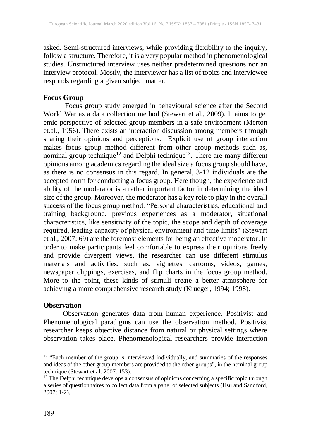asked. Semi-structured interviews, while providing flexibility to the inquiry, follow a structure. Therefore, it is a very popular method in phenomenological studies. Unstructured interview uses neither predetermined questions nor an interview protocol. Mostly, the interviewer has a list of topics and interviewee responds regarding a given subject matter.

#### **Focus Group**

Focus group study emerged in behavioural science after the Second World War as a data collection method (Stewart et al., 2009). It aims to get emic perspective of selected group members in a safe environment (Merton et.al., 1956). There exists an interaction discussion among members through sharing their opinions and perceptions. Explicit use of group interaction makes focus group method different from other group methods such as, nominal group technique<sup>12</sup> and Delphi technique<sup>13</sup>. There are many different opinions among academics regarding the ideal size a focus group should have, as there is no consensus in this regard. In general, 3-12 individuals are the accepted norm for conducting a focus group. Here though, the experience and ability of the moderator is a rather important factor in determining the ideal size of the group. Moreover, the moderator has a key role to play in the overall success of the focus group method. "Personal characteristics, educational and training background, previous experiences as a moderator, situational characteristics, like sensitivity of the topic, the scope and depth of coverage required, leading capacity of physical environment and time limits" (Stewart et al., 2007: 69) are the foremost elements for being an effective moderator. In order to make participants feel comfortable to express their opinions freely and provide divergent views, the researcher can use different stimulus materials and activities, such as, vignettes, cartoons, videos, games, newspaper clippings, exercises, and flip charts in the focus group method. More to the point, these kinds of stimuli create a better atmosphere for achieving a more comprehensive research study (Krueger, 1994; 1998).

#### **Observation**

Observation generates data from human experience. Positivist and Phenomenological paradigms can use the observation method. Positivist researcher keeps objective distance from natural or physical settings where observation takes place. Phenomenological researchers provide interaction

<sup>&</sup>lt;sup>12</sup> "Each member of the group is interviewed individually, and summaries of the responses and ideas of the other group members are provided to the other groups", in the nominal group technique (Stewart et al. 2007: 153).

 $13$  The Delphi technique develops a consensus of opinions concerning a specific topic through a series of questionnaires to collect data from a panel of selected subjects (Hsu and Sandford, 2007: 1-2).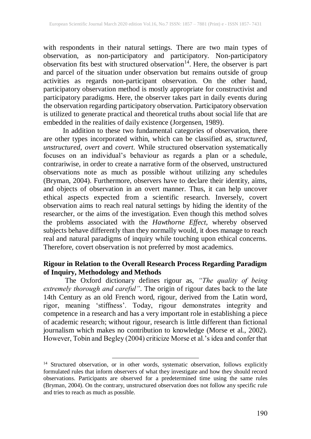with respondents in their natural settings. There are two main types of observation, as non-participatory and participatory. Non-participatory observation fits best with structured observation 14 . Here, the observer is part and parcel of the situation under observation but remains outside of group activities as regards non-participant observation. On the other hand, participatory observation method is mostly appropriate for constructivist and participatory paradigms. Here, the observer takes part in daily events during the observation regarding participatory observation. Participatory observation is utilized to generate practical and theoretical truths about social life that are embedded in the realities of daily existence (Jorgensen, 1989).

In addition to these two fundamental categories of observation, there are other types incorporated within, which can be classified as, *structured*, *unstructured*, *overt* and *covert*. While structured observation systematically focuses on an individual's behaviour as regards a plan or a schedule, contrariwise, in order to create a narrative form of the observed, unstructured observations note as much as possible without utilizing any schedules (Bryman, 2004). Furthermore, observers have to declare their identity, aims, and objects of observation in an overt manner. Thus, it can help uncover ethical aspects expected from a scientific research. Inversely, covert observation aims to reach real natural settings by hiding the identity of the researcher, or the aims of the investigation. Even though this method solves the problems associated with the *Hawthorne Effect,* whereby observed subjects behave differently than they normally would, it does manage to reach real and natural paradigms of inquiry while touching upon ethical concerns. Therefore, covert observation is not preferred by most academics.

## **Rigour in Relation to the Overall Research Process Regarding Paradigm of Inquiry, Methodology and Methods**

The Oxford dictionary defines rigour as, *"The quality of being extremely thorough and careful"*. The origin of rigour dates back to the late 14th Century as an old French word, rigour, derived from the Latin word, rigor, meaning 'stiffness'. Today, rigour demonstrates integrity and competence in a research and has a very important role in establishing a piece of academic research; without rigour, research is little different than fictional journalism which makes no contribution to knowledge (Morse et al., 2002). However, Tobin and Begley (2004) criticize Morse et al.'s idea and confer that

 $\overline{\phantom{a}}$ 

<sup>&</sup>lt;sup>14</sup> Structured observation, or in other words, systematic observation, follows explicitly formulated rules that inform observers of what they investigate and how they should record observations. Participants are observed for a predetermined time using the same rules (Bryman, 2004). On the contrary, unstructured observation does not follow any specific rule and tries to reach as much as possible.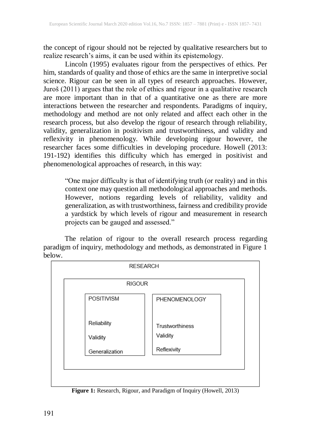the concept of rigour should not be rejected by qualitative researchers but to realize research's aims, it can be used within its epistemology.

Lincoln (1995) evaluates rigour from the perspectives of ethics. Per him, standards of quality and those of ethics are the same in interpretive social science. Rigour can be seen in all types of research approaches. However, Juroš (2011) argues that the role of ethics and rigour in a qualitative research are more important than in that of a quantitative one as there are more interactions between the researcher and respondents. Paradigms of inquiry, methodology and method are not only related and affect each other in the research process, but also develop the rigour of research through reliability, validity, generalization in positivism and trustworthiness, and validity and reflexivity in phenomenology. While developing rigour however, the researcher faces some difficulties in developing procedure. Howell (2013: 191-192) identifies this difficulty which has emerged in positivist and phenomenological approaches of research, in this way:

"One major difficulty is that of identifying truth (or reality) and in this context one may question all methodological approaches and methods. However, notions regarding levels of reliability, validity and generalization, as with trustworthiness, fairness and credibility provide a yardstick by which levels of rigour and measurement in research projects can be gauged and assessed."

The relation of rigour to the overall research process regarding paradigm of inquiry, methodology and methods, as demonstrated in Figure 1 below.



**Figure 1:** Research, Rigour, and Paradigm of Inquiry (Howell, 2013)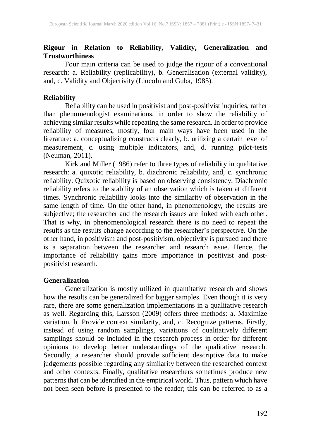## **Rigour in Relation to Reliability, Validity, Generalization and Trustworthiness**

Four main criteria can be used to judge the rigour of a conventional research: a. Reliability (replicability), b. Generalisation (external validity), and, c. Validity and Objectivity (Lincoln and Guba, 1985).

## **Reliability**

Reliability can be used in positivist and post-positivist inquiries, rather than phenomenologist examinations, in order to show the reliability of achieving similar results while repeating the same research. In order to provide reliability of measures, mostly, four main ways have been used in the literature: a. conceptualizing constructs clearly, b. utilizing a certain level of measurement, c. using multiple indicators, and, d. running pilot-tests (Neuman, 2011).

Kirk and Miller (1986) refer to three types of reliability in qualitative research: a. quixotic reliability, b. diachronic reliability, and, c. synchronic reliability. Quixotic reliability is based on observing consistency. Diachronic reliability refers to the stability of an observation which is taken at different times. Synchronic reliability looks into the similarity of observation in the same length of time. On the other hand, in phenomenology, the results are subjective; the researcher and the research issues are linked with each other. That is why, in phenomenological research there is no need to repeat the results as the results change according to the researcher's perspective. On the other hand, in positivism and post-positivism, objectivity is pursued and there is a separation between the researcher and research issue. Hence, the importance of reliability gains more importance in positivist and postpositivist research.

# **Generalization**

Generalization is mostly utilized in quantitative research and shows how the results can be generalized for bigger samples. Even though it is very rare, there are some generalization implementations in a qualitative research as well. Regarding this, Larsson (2009) offers three methods: a. Maximize variation, b. Provide context similarity, and, c. Recognize patterns. Firstly, instead of using random samplings, variations of qualitatively different samplings should be included in the research process in order for different opinions to develop better understandings of the qualitative research. Secondly, a researcher should provide sufficient descriptive data to make judgements possible regarding any similarity between the researched context and other contexts. Finally, qualitative researchers sometimes produce new patterns that can be identified in the empirical world. Thus, pattern which have not been seen before is presented to the reader; this can be referred to as a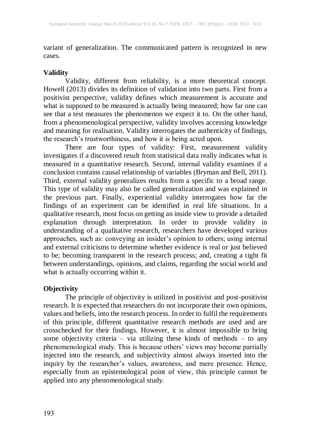variant of generalization. The communicated pattern is recognized in new cases.

#### **Validity**

Validity, different from reliability, is a more theoretical concept. Howell (2013) divides its definition of validation into two parts. First from a positivist perspective, validity defines which measurement is accurate and what is supposed to be measured is actually being measured; how far one can see that a test measures the phenomenon we expect it to. On the other hand, from a phenomenological perspective, validity involves accessing knowledge and meaning for realisation. Validity interrogates the authenticity of findings, the research's trustworthiness, and how it is being acted upon.

There are four types of validity: First, measurement validity investigates if a discovered result from statistical data really indicates what is measured in a quantitative research. Second, internal validity examines if a conclusion contains causal relationship of variables (Bryman and Bell, 2011). Third, external validity generalizes results from a specific to a broad range. This type of validity may also be called generalization and was explained in the previous part. Finally, experiential validity interrogates how far the findings of an experiment can be identified in real life situations. In a qualitative research, most focus on getting an inside view to provide a detailed explanation through interpretation. In order to provide validity in understanding of a qualitative research, researchers have developed various approaches, such as: conveying an insider's opinion to others; using internal and external criticisms to determine whether evidence is real or just believed to be; becoming transparent in the research process; and, creating a tight fit between understandings, opinions, and claims, regarding the social world and what is actually occurring within it.

## **Objectivity**

The principle of objectivity is utilized in positivist and post-positivist research. It is expected that researchers do not incorporate their own opinions, values and beliefs, into the research process. In order to fulfil the requirements of this principle, different quantitative research methods are used and are crosschecked for their findings. However, it is almost impossible to bring some objectivity criteria – via utilizing these kinds of methods – to any phenomenological study. This is because others' views may become partially injected into the research, and subjectivity almost always inserted into the inquiry by the researcher's values, awareness, and mere presence. Hence, especially from an epistemological point of view, this principle cannot be applied into any phenomenological study.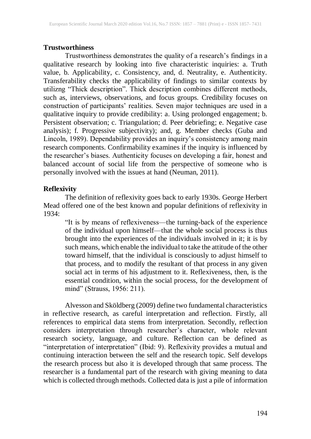#### **Trustworthiness**

Trustworthiness demonstrates the quality of a research's findings in a qualitative research by looking into five characteristic inquiries: a. Truth value, b. Applicability, c. Consistency, and, d. Neutrality, e. Authenticity. Transferability checks the applicability of findings to similar contexts by utilizng "Thick description". Thick description combines different methods, such as, interviews, observations, and focus groups. Credibility focuses on construction of participants' realities. Seven major techniques are used in a qualitative inquiry to provide credibility: a. Using prolonged engagement; b. Persistent observation; c. Triangulation; d. Peer debriefing; e. Negative case analysis); f. Progressive subjectivity); and, g. Member checks (Guba and Lincoln, 1989). Dependability provides an inquiry's consistency among main research components. Confirmability examines if the inquiry is influenced by the researcher's biases. Authenticity focuses on developing a fair, honest and balanced account of social life from the perspective of someone who is personally involved with the issues at hand (Neuman, 2011).

#### **Reflexivity**

The definition of reflexivity goes back to early 1930s. George Herbert Mead offered one of the best known and popular definitions of reflexivity in 1934:

"It is by means of reflexiveness—the turning-back of the experience of the individual upon himself—that the whole social process is thus brought into the experiences of the individuals involved in it; it is by such means, which enable the individual to take the attitude of the other toward himself, that the individual is consciously to adjust himself to that process, and to modify the resultant of that process in any given social act in terms of his adjustment to it. Reflexiveness, then, is the essential condition, within the social process, for the development of mind" (Strauss, 1956: 211).

Alvesson and Sköldberg (2009) define two fundamental characteristics in reflective research, as careful interpretation and reflection. Firstly, all references to empirical data stems from interpretation. Secondly, reflection considers interpretation through researcher's character, whole relevant research society, language, and culture. Reflection can be defined as "interpretation of interpretation" (Ibid: 9). Reflexivity provides a mutual and continuing interaction between the self and the research topic. Self develops the research process but also it is developed through that same process. The researcher is a fundamental part of the research with giving meaning to data which is collected through methods. Collected data is just a pile of information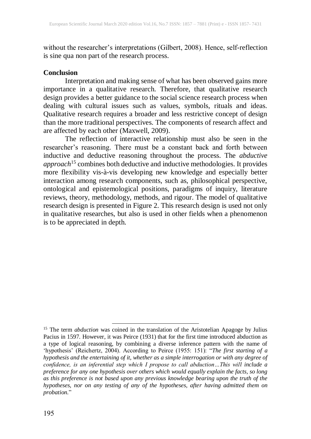without the researcher's interpretations (Gilbert, 2008). Hence, self-reflection is sine qua non part of the research process.

#### **Conclusion**

Interpretation and making sense of what has been observed gains more importance in a qualitative research. Therefore, that qualitative research design provides a better guidance to the social science research process when dealing with cultural issues such as values, symbols, rituals and ideas. Qualitative research requires a broader and less restrictive concept of design than the more traditional perspectives. The components of research affect and are affected by each other (Maxwell, 2009).

The reflection of interactive relationship must also be seen in the researcher's reasoning. There must be a constant back and forth between inductive and deductive reasoning throughout the process. The *abductive approach* <sup>15</sup> combines both deductive and inductive methodologies. It provides more flexibility vis-à-vis developing new knowledge and especially better interaction among research components, such as, philosophical perspective, ontological and epistemological positions, paradigms of inquiry, literature reviews, theory, methodology, methods, and rigour. The model of qualitative research design is presented in Figure 2. This research design is used not only in qualitative researches, but also is used in other fields when a phenomenon is to be appreciated in depth.

 $\overline{a}$ 

<sup>&</sup>lt;sup>15</sup> The term *abduction* was coined in the translation of the Aristotelian Apagoge by Julius Pacius in 1597. However, it was Peirce (1931) that for the first time introduced abduction as a type of logical reasoning, by combining a diverse inference pattern with the name of 'hypothesis' (Reichertz, 2004). According to Peirce (1955: 151): "*The first starting of a hypothesis and the entertaining of it, whether as a simple interrogation or with any degree of confidence, is an inferential step which I propose to call abduction…This will include a preference for any one hypothesis over others which would equally explain the facts, so long as this preference is not based upon any previous knowledge bearing upon the truth of the hypotheses, nor on any testing of any of the hypotheses, after having admitted them on probation.*"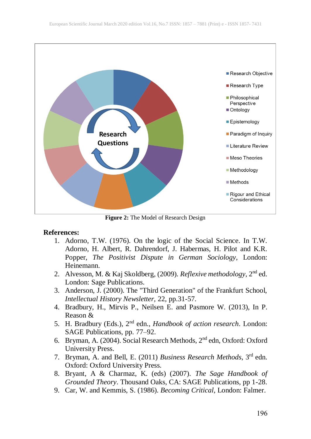

**Figure 2:** The Model of Research Design

## **References:**

- 1. Adorno, T.W. (1976). On the logic of the Social Science. In T.W. Adorno, H. Albert, R. Dahrendorf, J. Habermas, H. Pilot and K.R. Popper, *The Positivist Dispute in German Sociology*, London: Heinemann.
- 2. Alvesson, M. & Kaj Skoldberg, (2009). *Reflexive methodology*, 2 nd ed. London: Sage Publications.
- 3. Anderson, J. (2000). The "Third Generation" of the Frankfurt School, *Intellectual History Newsletter,* 22, pp.31-57.
- 4. Bradbury, H., Mirvis P., Neilsen E. and Pasmore W. (2013), In P. Reason &
- 5. H. Bradbury (Eds.), 2<sup>nd</sup> edn., *Handbook of action research*. London: SAGE Publications, pp. 77–92.
- 6. Bryman, A. (2004). Social Research Methods, 2<sup>nd</sup> edn, Oxford: Oxford University Press.
- 7. Bryman, A. and Bell, E. (2011) *Business Research Methods*, 3 rd edn. Oxford: Oxford University Press.
- 8. Bryant, A & Charmaz, K. (eds) (2007). *The Sage Handbook of Grounded Theory*. Thousand Oaks, CA: SAGE Publications, pp 1-28.
- 9. Car, W. and Kemmis, S. (1986). *Becoming Critical*, London: Falmer.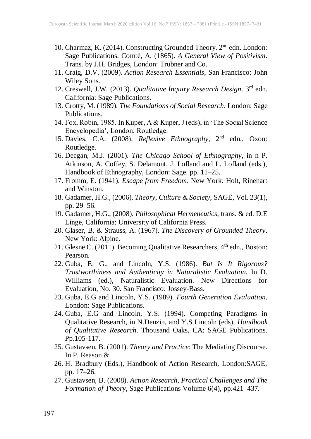- 10. Charmaz, K. (2014). Constructing Grounded Theory. 2<sup>nd</sup> edn. London: Sage Publications. Comtè, A. (1865). *A General View of Positivism*. Trans. by J.H. Bridges, London: Trubner and Co.
- 11. Craig, D.V. (2009). *Action Research Essentials*, San Francisco: John Wiley Sons.
- 12. Creswell, J.W. (2013). *Qualitative Inquiry Research Design*. 3 rd edn. California: Sage Publications.
- 13. Crotty, M. (1989). *The Foundations of Social Research*. London: Sage Publications.
- 14. Fox, Robin, 1985. In Kuper, A & Kuper, J(eds), in 'The Social Science Encyclopedia', London: Routledge.
- 15. Davies, C.A. (2008). *Reflexive Ethnography*, 2<sup>nd</sup> edn., Oxon: Routledge.
- 16. Deegan, M.J. (2001). *The Chicago School of Ethnography*, in n P. Atkinson, A. Coffey, S. Delamont, J. Lofland and L. Lofland (eds.), Handbook of Ethnography, London: Sage. pp. 11–25.
- 17. Fromm, E. (1941). *Escape from Freedom*. New York: Holt, Rinehart and Winston.
- 18. Gadamer, H.G., (2006). *Theory, Culture & Society*, SAGE, Vol. 23(1), pp. 29–56.
- 19. Gadamer, H.G., (2008). *Philosophical Hermeneutics*, trans. & ed. D.E Linge, California: University of California Press.
- 20. Glaser, B. & Strauss, A. (1967). *The Discovery of Grounded Theory*. New York: Alpine.
- 21. Glesne C. (2011). Becoming Qualitative Researchers, 4<sup>th</sup> edn., Boston: Pearson.
- 22. Guba, E. G., and Lincoln, Y.S. (1986). *But Is It Rigorous? Trustworthiness and Authenticity in Naturalistic Evaluation.* In D. Williams (ed.), Naturalistic Evaluation. New Directions for Evaluation, No. 30. San Francisco: Jossey-Bass.
- 23. Guba, E.G and Lincoln, Y.S. (1989). *Fourth Generation Evaluation*. London: Sage Publications.
- 24. Guba, E.G and Lincoln, Y.S. (1994). Competing Paradigms in Qualitative Research, in N.Denzin, and Y.S Lincoln (eds), *Handbook of Qualitative Research*. Thousand Oaks, CA: SAGE Publications. Pp.105-117.
- 25. Gustavsen, B. (2001). *Theory and Practice*: The Mediating Discourse. In P. Reason &
- 26. H. Bradbury (Eds.), Handbook of Action Research, London:SAGE, pp. 17–26.
- 27. Gustavsen, B. (2008). *Action Research, Practical Challenges and The Formation of Theory,* Sage Publications Volume 6(4), pp.421–437.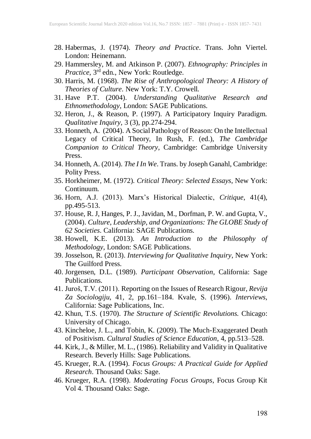- 28. Habermas, J. (1974). *Theory and Practice*. Trans. John Viertel. London: Heinemann.
- 29. Hammersley, M. and Atkinson P. (2007). *Ethnography: Principles in Practice*, 3rd edn., New York: Routledge.
- 30. Harris, M. (1968). *The Rise of Anthropological Theory: A History of Theories of Culture*. New York: T.Y. Crowell.
- 31. Have P.T. (2004). *Understanding Qualitative Research and Ethnomethodology*, London: SAGE Publications.
- 32. Heron, J., & Reason, P. (1997). A Participatory Inquiry Paradigm. *Qualitative Inquiry,* 3 (3), pp.274-294.
- 33. Honneth, A. (2004). A Social Pathology of Reason: On the Intellectual Legacy of Critical Theory, In Rush, F. (ed.), *The Cambridge Companion to Critical Theory*, Cambridge: Cambridge University Press.
- 34. Honneth, A. (2014). *The I In We*. Trans. by Joseph Ganahl, Cambridge: Polity Press.
- 35. Horkheimer, M. (1972). *Critical Theory: Selected Essays*, New York: Continuum.
- 36. Horn, A.J. (2013). Marx's Historical Dialectic, *Critique*, 41(4), pp.495-513.
- 37. House, R. J, Hanges, P. J., Javidan, M., Dorfman, P. W. and Gupta, V., (2004). *Culture, Leadership, and Organizations: The GLOBE Study of 62 Societies*. California: SAGE Publications.
- 38. Howell, K.E. (2013). *An Introduction to the Philosophy of Methodology*, London: SAGE Publications.
- 39. Josselson, R. (2013). *Interviewing for Qualitative Inquiry*, New York: The Guilford Press.
- 40. Jorgensen, D.L. (1989). *Participant Observation*, California: Sage Publications.
- 41. Juroš, T.V. (2011). Reporting on the Issues of Research Rigour, *Revija Za Sociologiju*, 41, 2, pp.161–184. Kvale, S. (1996). *Interviews*, California: Sage Publications, Inc.
- 42. Khun, T.S. (1970). *The Structure of Scientific Revolutions.* Chicago: University of Chicago.
- 43. Kincheloe, J. L., and Tobin, K. (2009). The Much-Exaggerated Death of Positivism. *Cultural Studies of Science Education*, 4, pp.513–528.
- 44. Kirk, J., & Miller, M. L., (1986). Reliability and Validity in Qualitative Research. Beverly Hills: Sage Publications.
- 45. Krueger, R.A. (1994). *Focus Groups: A Practical Guide for Applied Research*. Thousand Oaks: Sage.
- 46. Krueger, R.A. (1998). *Moderating Focus Groups*, Focus Group Kit Vol 4. Thousand Oaks: Sage.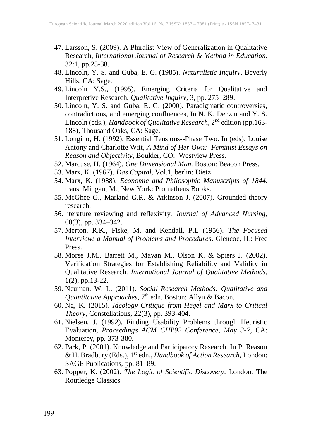- 47. Larsson, S. (2009). A Pluralist View of Generalization in Qualitative Research, *International Journal of Research & Method in Education*, 32:1, pp.25-38.
- 48. Lincoln, Y. S. and Guba, E. G. (1985). *Naturalistic Inquiry*. Beverly Hills, CA: Sage.
- 49. Lincoln Y.S., (1995). Emerging Criteria for Qualitative and Interpretive Research. *Qualitative Inquiry,* 3, pp. 275–289.
- 50. Lincoln, Y. S. and Guba, E. G. (2000). Paradigmatic controversies, contradictions, and emerging confluences, In N. K. Denzin and Y. S. Lincoln (eds.), *Handbook of Qualitative Research*, 2<sup>nd</sup> edition (pp.163-188), Thousand Oaks, CA: Sage.
- 51. Longino, H. (1992). Essential Tensions--Phase Two. In (eds). Louise Antony and Charlotte Witt, *A Mind of Her Own: Feminist Essays on Reason and Objectivity*, Boulder, CO: Westview Press.
- 52. Marcuse, H. (1964). *One Dimensional Man*. Boston: Beacon Press.
- 53. Marx, K. (1967). *Das Capital*, Vol.1, berlin: Dietz.
- 54. Marx, K. (1988). *Economic and Philosophic Manuscripts of 1844*. trans. Miligan, M., New York: Prometheus Books.
- 55. McGhee G., Marland G.R. & Atkinson J. (2007). Grounded theory research:
- 56. literature reviewing and reflexivity. *Journal of Advanced Nursing*, 60(3), pp. 334–342.
- 57. Merton, R.K., Fiske, M. and Kendall, P.L (1956). *The Focused Interview: a Manual of Problems and Procedures*. Glencoe, IL: Free Press.
- 58. Morse J.M., Barrett M., Mayan M., Olson K. & Spiers J. (2002). Verification Strategies for Establishing Reliability and Validity in Qualitative Research. *International Journal of Qualitative Methods*, 1(2), pp.13-22.
- 59. Neuman, W. L. (2011). *Social Research Methods: Qualitative and Quantitative Approaches,* 7<sup>th</sup> edn. Boston: Allyn & Bacon.
- 60. Ng, K. (2015). *Ideology Critique from Hegel and Marx to Critical Theory*, Constellations, 22(3), pp. 393-404.
- 61. Nielsen, J. (1992). Finding Usability Problems through Heuristic Evaluation, *Proceedings ACM CHI'92 Conference, May 3-7,* CA: Monterey, pp. 373-380.
- 62. Park, P. (2001). Knowledge and Participatory Research. In P. Reason & H. Bradbury (Eds.), 1 st edn., *Handbook of Action Research*, London: SAGE Publications, pp. 81–89.
- 63. Popper, K. (2002). *The Logic of Scientific Discovery*. London: The Routledge Classics.